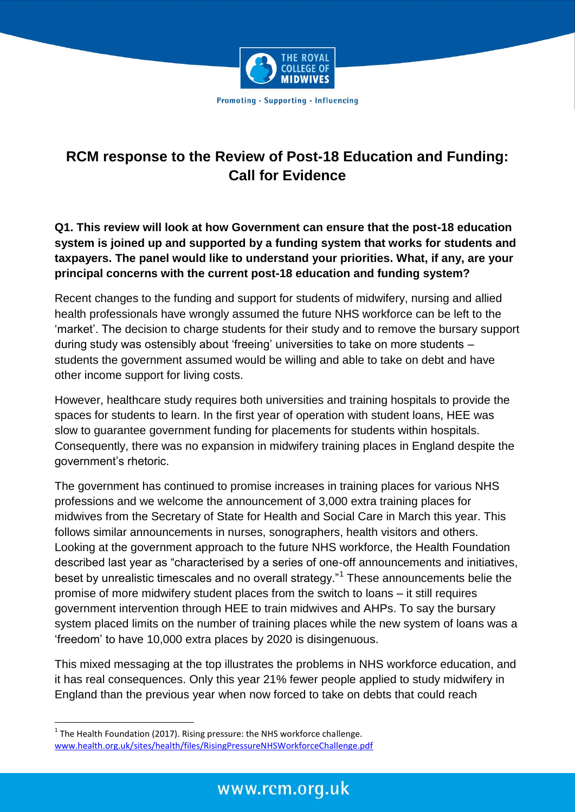

## **RCM response to the Review of Post-18 Education and Funding: Call for Evidence**

**Q1. This review will look at how Government can ensure that the post-18 education system is joined up and supported by a funding system that works for students and taxpayers. The panel would like to understand your priorities. What, if any, are your principal concerns with the current post-18 education and funding system?** 

Recent changes to the funding and support for students of midwifery, nursing and allied health professionals have wrongly assumed the future NHS workforce can be left to the 'market'. The decision to charge students for their study and to remove the bursary support during study was ostensibly about 'freeing' universities to take on more students – students the government assumed would be willing and able to take on debt and have other income support for living costs.

However, healthcare study requires both universities and training hospitals to provide the spaces for students to learn. In the first year of operation with student loans, HEE was slow to guarantee government funding for placements for students within hospitals. Consequently, there was no expansion in midwifery training places in England despite the government's rhetoric.

The government has continued to promise increases in training places for various NHS professions and we welcome the announcement of 3,000 extra training places for midwives from the Secretary of State for Health and Social Care in March this year. This follows similar announcements in nurses, sonographers, health visitors and others. Looking at the government approach to the future NHS workforce, the Health Foundation described last year as "characterised by a series of one-off announcements and initiatives, beset by unrealistic timescales and no overall strategy."<sup>1</sup> These announcements belie the promise of more midwifery student places from the switch to loans – it still requires government intervention through HEE to train midwives and AHPs. To say the bursary system placed limits on the number of training places while the new system of loans was a 'freedom' to have 10,000 extra places by 2020 is disingenuous.

This mixed messaging at the top illustrates the problems in NHS workforce education, and it has real consequences. Only this year 21% fewer people applied to study midwifery in England than the previous year when now forced to take on debts that could reach

 $1$  The Health Foundation (2017). Rising pressure: the NHS workforce challenge. [www.health.org.uk/sites/health/files/RisingPressureNHSWorkforceChallenge.pdf](http://www.health.org.uk/sites/health/files/RisingPressureNHSWorkforceChallenge.pdf)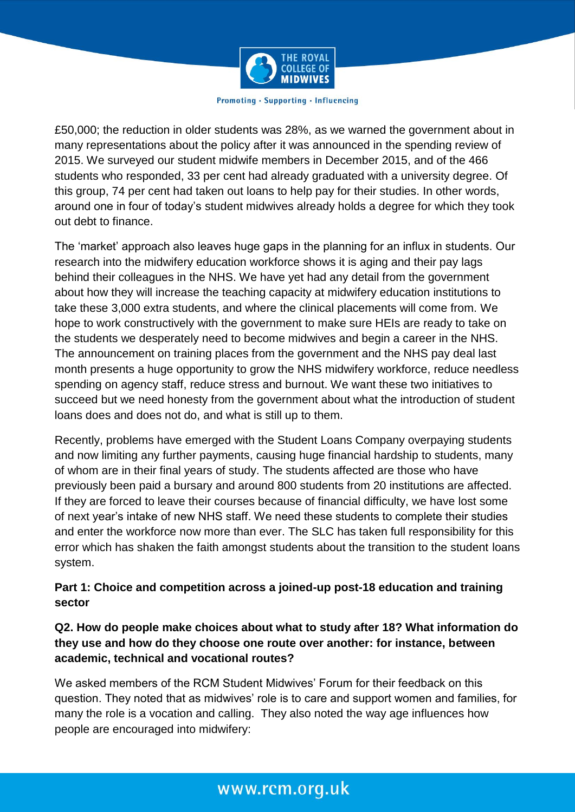

£50,000; the reduction in older students was 28%, as we warned the government about in many representations about the policy after it was announced in the spending review of 2015. We surveyed our student midwife members in December 2015, and of the 466 students who responded, 33 per cent had already graduated with a university degree. Of this group, 74 per cent had taken out loans to help pay for their studies. In other words, around one in four of today's student midwives already holds a degree for which they took out debt to finance.

The 'market' approach also leaves huge gaps in the planning for an influx in students. Our research into the midwifery education workforce shows it is aging and their pay lags behind their colleagues in the NHS. We have yet had any detail from the government about how they will increase the teaching capacity at midwifery education institutions to take these 3,000 extra students, and where the clinical placements will come from. We hope to work constructively with the government to make sure HEIs are ready to take on the students we desperately need to become midwives and begin a career in the NHS. The announcement on training places from the government and the NHS pay deal last month presents a huge opportunity to grow the NHS midwifery workforce, reduce needless spending on agency staff, reduce stress and burnout. We want these two initiatives to succeed but we need honesty from the government about what the introduction of student loans does and does not do, and what is still up to them.

Recently, problems have emerged with the Student Loans Company overpaying students and now limiting any further payments, causing huge financial hardship to students, many of whom are in their final years of study. The students affected are those who have previously been paid a bursary and around 800 students from 20 institutions are affected. If they are forced to leave their courses because of financial difficulty, we have lost some of next year's intake of new NHS staff. We need these students to complete their studies and enter the workforce now more than ever. The SLC has taken full responsibility for this error which has shaken the faith amongst students about the transition to the student loans system.

## **Part 1: Choice and competition across a joined-up post-18 education and training sector**

## **Q2. How do people make choices about what to study after 18? What information do they use and how do they choose one route over another: for instance, between academic, technical and vocational routes?**

We asked members of the RCM Student Midwives' Forum for their feedback on this question. They noted that as midwives' role is to care and support women and families, for many the role is a vocation and calling. They also noted the way age influences how people are encouraged into midwifery:

## www.rcm.org.uk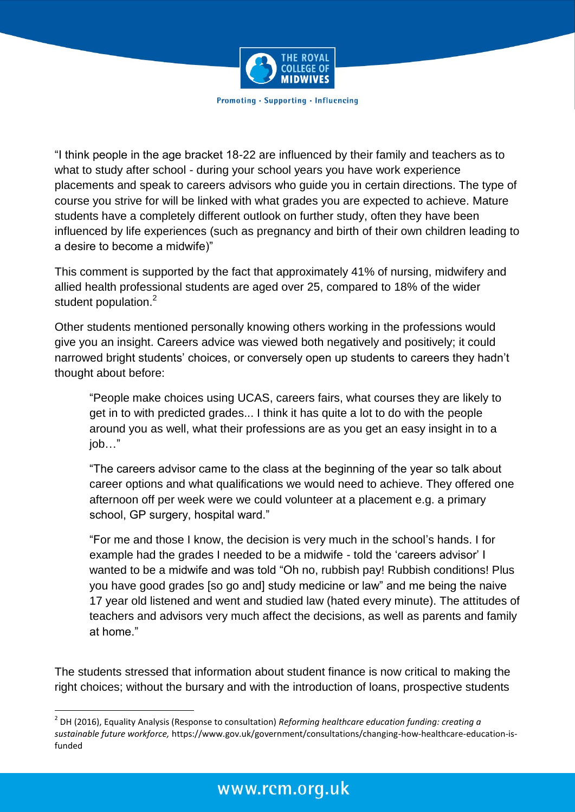

"I think people in the age bracket 18-22 are influenced by their family and teachers as to what to study after school - during your school years you have work experience placements and speak to careers advisors who guide you in certain directions. The type of course you strive for will be linked with what grades you are expected to achieve. Mature students have a completely different outlook on further study, often they have been influenced by life experiences (such as pregnancy and birth of their own children leading to a desire to become a midwife)"

This comment is supported by the fact that approximately 41% of nursing, midwifery and allied health professional students are aged over 25, compared to 18% of the wider student population.<sup>2</sup>

Other students mentioned personally knowing others working in the professions would give you an insight. Careers advice was viewed both negatively and positively; it could narrowed bright students' choices, or conversely open up students to careers they hadn't thought about before:

"People make choices using UCAS, careers fairs, what courses they are likely to get in to with predicted grades... I think it has quite a lot to do with the people around you as well, what their professions are as you get an easy insight in to a job…"

"The careers advisor came to the class at the beginning of the year so talk about career options and what qualifications we would need to achieve. They offered one afternoon off per week were we could volunteer at a placement e.g. a primary school, GP surgery, hospital ward."

"For me and those I know, the decision is very much in the school's hands. I for example had the grades I needed to be a midwife - told the 'careers advisor' I wanted to be a midwife and was told "Oh no, rubbish pay! Rubbish conditions! Plus you have good grades [so go and] study medicine or law" and me being the naive 17 year old listened and went and studied law (hated every minute). The attitudes of teachers and advisors very much affect the decisions, as well as parents and family at home."

The students stressed that information about student finance is now critical to making the right choices; without the bursary and with the introduction of loans, prospective students

<sup>2</sup> DH (2016), Equality Analysis (Response to consultation) *Reforming healthcare education funding: creating a sustainable future workforce,* https://www.gov.uk/government/consultations/changing-how-healthcare-education-isfunded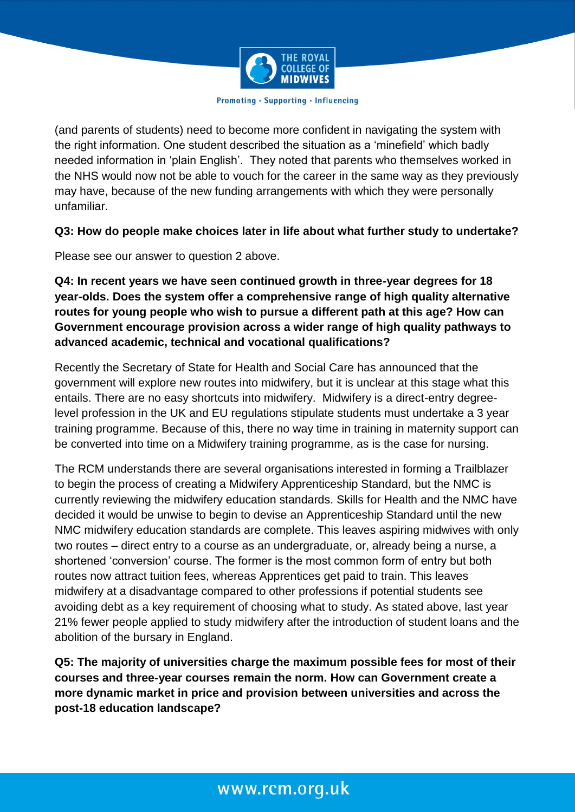

(and parents of students) need to become more confident in navigating the system with the right information. One student described the situation as a 'minefield' which badly needed information in 'plain English'. They noted that parents who themselves worked in the NHS would now not be able to vouch for the career in the same way as they previously may have, because of the new funding arrangements with which they were personally unfamiliar.

### **Q3: How do people make choices later in life about what further study to undertake?**

Please see our answer to question 2 above.

**Q4: In recent years we have seen continued growth in three-year degrees for 18 year-olds. Does the system offer a comprehensive range of high quality alternative routes for young people who wish to pursue a different path at this age? How can Government encourage provision across a wider range of high quality pathways to advanced academic, technical and vocational qualifications?** 

Recently the Secretary of State for Health and Social Care has announced that the government will explore new routes into midwifery, but it is unclear at this stage what this entails. There are no easy shortcuts into midwifery. Midwifery is a direct-entry degreelevel profession in the UK and EU regulations stipulate students must undertake a 3 year training programme. Because of this, there no way time in training in maternity support can be converted into time on a Midwifery training programme, as is the case for nursing.

The RCM understands there are several organisations interested in forming a Trailblazer to begin the process of creating a Midwifery Apprenticeship Standard, but the NMC is currently reviewing the midwifery education standards. Skills for Health and the NMC have decided it would be unwise to begin to devise an Apprenticeship Standard until the new NMC midwifery education standards are complete. This leaves aspiring midwives with only two routes – direct entry to a course as an undergraduate, or, already being a nurse, a shortened 'conversion' course. The former is the most common form of entry but both routes now attract tuition fees, whereas Apprentices get paid to train. This leaves midwifery at a disadvantage compared to other professions if potential students see avoiding debt as a key requirement of choosing what to study. As stated above, last year 21% fewer people applied to study midwifery after the introduction of student loans and the abolition of the bursary in England.

**Q5: The majority of universities charge the maximum possible fees for most of their courses and three-year courses remain the norm. How can Government create a more dynamic market in price and provision between universities and across the post-18 education landscape?**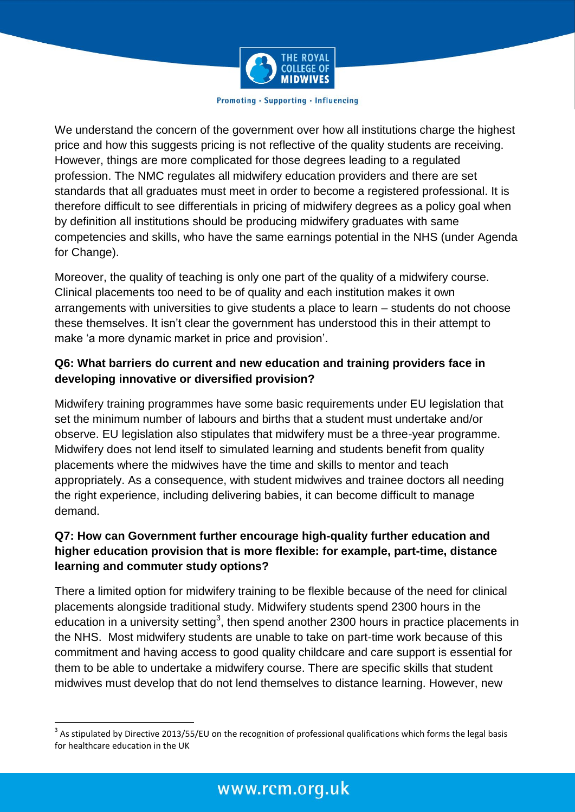

We understand the concern of the government over how all institutions charge the highest price and how this suggests pricing is not reflective of the quality students are receiving. However, things are more complicated for those degrees leading to a regulated profession. The NMC regulates all midwifery education providers and there are set standards that all graduates must meet in order to become a registered professional. It is therefore difficult to see differentials in pricing of midwifery degrees as a policy goal when by definition all institutions should be producing midwifery graduates with same competencies and skills, who have the same earnings potential in the NHS (under Agenda for Change).

Moreover, the quality of teaching is only one part of the quality of a midwifery course. Clinical placements too need to be of quality and each institution makes it own arrangements with universities to give students a place to learn – students do not choose these themselves. It isn't clear the government has understood this in their attempt to make 'a more dynamic market in price and provision'.

## **Q6: What barriers do current and new education and training providers face in developing innovative or diversified provision?**

Midwifery training programmes have some basic requirements under EU legislation that set the minimum number of labours and births that a student must undertake and/or observe. EU legislation also stipulates that midwifery must be a three-year programme. Midwifery does not lend itself to simulated learning and students benefit from quality placements where the midwives have the time and skills to mentor and teach appropriately. As a consequence, with student midwives and trainee doctors all needing the right experience, including delivering babies, it can become difficult to manage demand.

## **Q7: How can Government further encourage high-quality further education and higher education provision that is more flexible: for example, part-time, distance learning and commuter study options?**

There a limited option for midwifery training to be flexible because of the need for clinical placements alongside traditional study. Midwifery students spend 2300 hours in the education in a university setting<sup>3</sup>, then spend another 2300 hours in practice placements in the NHS. Most midwifery students are unable to take on part-time work because of this commitment and having access to good quality childcare and care support is essential for them to be able to undertake a midwifery course. There are specific skills that student midwives must develop that do not lend themselves to distance learning. However, new

 3 As stipulated by Directive 2013/55/EU on the recognition of professional qualifications which forms the legal basis for healthcare education in the UK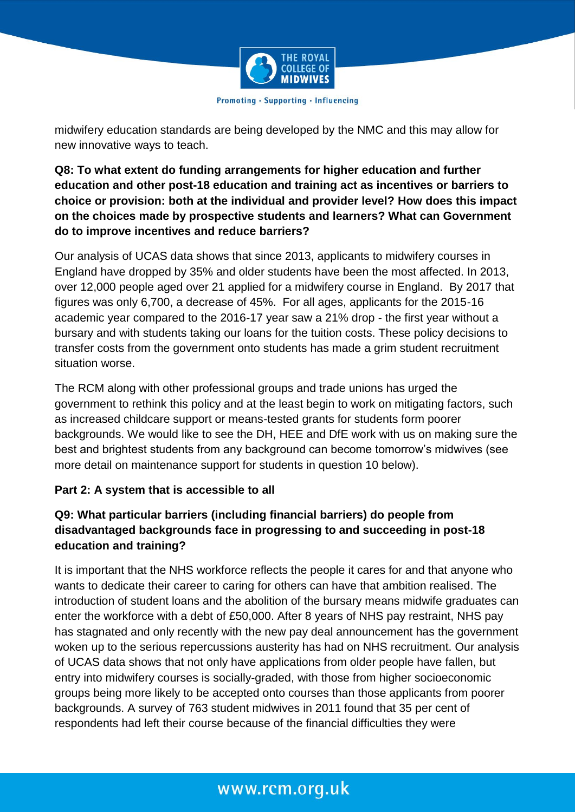

midwifery education standards are being developed by the NMC and this may allow for new innovative ways to teach.

**Q8: To what extent do funding arrangements for higher education and further education and other post-18 education and training act as incentives or barriers to choice or provision: both at the individual and provider level? How does this impact on the choices made by prospective students and learners? What can Government do to improve incentives and reduce barriers?** 

Our analysis of UCAS data shows that since 2013, applicants to midwifery courses in England have dropped by 35% and older students have been the most affected. In 2013, over 12,000 people aged over 21 applied for a midwifery course in England. By 2017 that figures was only 6,700, a decrease of 45%. For all ages, applicants for the 2015-16 academic year compared to the 2016-17 year saw a 21% drop - the first year without a bursary and with students taking our loans for the tuition costs. These policy decisions to transfer costs from the government onto students has made a grim student recruitment situation worse.

The RCM along with other professional groups and trade unions has urged the government to rethink this policy and at the least begin to work on mitigating factors, such as increased childcare support or means-tested grants for students form poorer backgrounds. We would like to see the DH, HEE and DfE work with us on making sure the best and brightest students from any background can become tomorrow's midwives (see more detail on maintenance support for students in question 10 below).

## **Part 2: A system that is accessible to all**

## **Q9: What particular barriers (including financial barriers) do people from disadvantaged backgrounds face in progressing to and succeeding in post-18 education and training?**

It is important that the NHS workforce reflects the people it cares for and that anyone who wants to dedicate their career to caring for others can have that ambition realised. The introduction of student loans and the abolition of the bursary means midwife graduates can enter the workforce with a debt of £50,000. After 8 years of NHS pay restraint, NHS pay has stagnated and only recently with the new pay deal announcement has the government woken up to the serious repercussions austerity has had on NHS recruitment. Our analysis of UCAS data shows that not only have applications from older people have fallen, but entry into midwifery courses is socially-graded, with those from higher socioeconomic groups being more likely to be accepted onto courses than those applicants from poorer backgrounds. A survey of 763 student midwives in 2011 found that 35 per cent of respondents had left their course because of the financial difficulties they were

# www.rcm.org.uk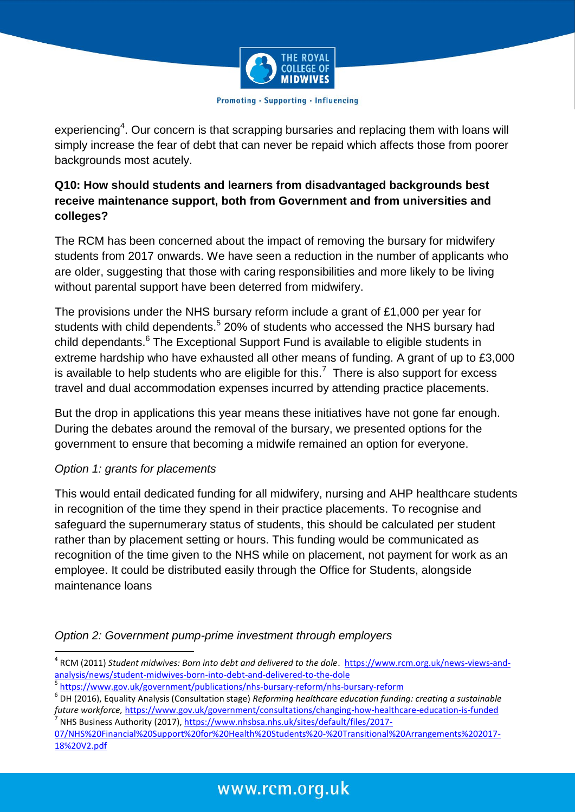

experiencing<sup>4</sup>. Our concern is that scrapping bursaries and replacing them with loans will simply increase the fear of debt that can never be repaid which affects those from poorer backgrounds most acutely.

## **Q10: How should students and learners from disadvantaged backgrounds best receive maintenance support, both from Government and from universities and colleges?**

The RCM has been concerned about the impact of removing the bursary for midwifery students from 2017 onwards. We have seen a reduction in the number of applicants who are older, suggesting that those with caring responsibilities and more likely to be living without parental support have been deterred from midwifery.

The provisions under the NHS bursary reform include a grant of £1,000 per year for students with child dependents.<sup>5</sup> 20% of students who accessed the NHS bursary had child dependants.<sup>6</sup> The Exceptional Support Fund is available to eligible students in extreme hardship who have exhausted all other means of funding. A grant of up to £3,000 is available to help students who are eligible for this.<sup>7</sup> There is also support for excess travel and dual accommodation expenses incurred by attending practice placements.

But the drop in applications this year means these initiatives have not gone far enough. During the debates around the removal of the bursary, we presented options for the government to ensure that becoming a midwife remained an option for everyone.

## *Option 1: grants for placements*

This would entail dedicated funding for all midwifery, nursing and AHP healthcare students in recognition of the time they spend in their practice placements. To recognise and safeguard the supernumerary status of students, this should be calculated per student rather than by placement setting or hours. This funding would be communicated as recognition of the time given to the NHS while on placement, not payment for work as an employee. It could be distributed easily through the Office for Students, alongside maintenance loans

## *Option 2: Government pump-prime investment through employers*

<sup>1</sup> <sup>4</sup> RCM (2011) Student midwives: Born into debt and delivered to the dole. [https://www.rcm.org.uk/news-views-and](https://www.rcm.org.uk/news-views-and-analysis/news/student-midwives-born-into-debt-and-delivered-to-the-dole)[analysis/news/student-midwives-born-into-debt-and-delivered-to-the-dole](https://www.rcm.org.uk/news-views-and-analysis/news/student-midwives-born-into-debt-and-delivered-to-the-dole)

<sup>5</sup> <https://www.gov.uk/government/publications/nhs-bursary-reform/nhs-bursary-reform>

<sup>6</sup> DH (2016), Equality Analysis (Consultation stage) *Reforming healthcare education funding: creating a sustainable future workforce,* <https://www.gov.uk/government/consultations/changing-how-healthcare-education-is-funded> 7 NHS Business Authority (2017), [https://www.nhsbsa.nhs.uk/sites/default/files/2017-](https://www.nhsbsa.nhs.uk/sites/default/files/2017-07/NHS%20Financial%20Support%20for%20Health%20Students%20-%20Transitional%20Arrangements%202017-18%20V2.pdf)

[<sup>07/</sup>NHS%20Financial%20Support%20for%20Health%20Students%20-%20Transitional%20Arrangements%202017-](https://www.nhsbsa.nhs.uk/sites/default/files/2017-07/NHS%20Financial%20Support%20for%20Health%20Students%20-%20Transitional%20Arrangements%202017-18%20V2.pdf) [18%20V2.pdf](https://www.nhsbsa.nhs.uk/sites/default/files/2017-07/NHS%20Financial%20Support%20for%20Health%20Students%20-%20Transitional%20Arrangements%202017-18%20V2.pdf)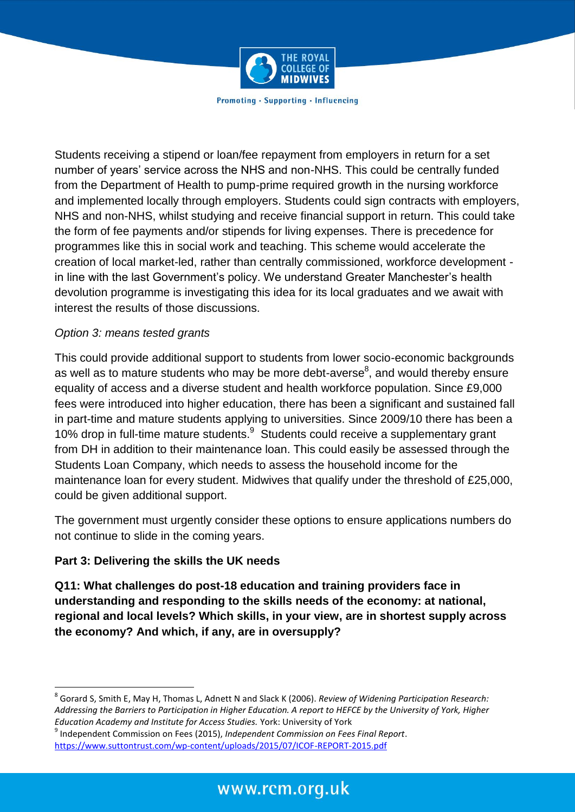

Students receiving a stipend or loan/fee repayment from employers in return for a set number of years' service across the NHS and non-NHS. This could be centrally funded from the Department of Health to pump-prime required growth in the nursing workforce and implemented locally through employers. Students could sign contracts with employers, NHS and non-NHS, whilst studying and receive financial support in return. This could take the form of fee payments and/or stipends for living expenses. There is precedence for programmes like this in social work and teaching. This scheme would accelerate the creation of local market-led, rather than centrally commissioned, workforce development in line with the last Government's policy. We understand Greater Manchester's health devolution programme is investigating this idea for its local graduates and we await with interest the results of those discussions.

## *Option 3: means tested grants*

This could provide additional support to students from lower socio-economic backgrounds as well as to mature students who may be more debt-averse<sup>8</sup>, and would thereby ensure equality of access and a diverse student and health workforce population. Since £9,000 fees were introduced into higher education, there has been a significant and sustained fall in part-time and mature students applying to universities. Since 2009/10 there has been a 10% drop in full-time mature students.<sup>9</sup> Students could receive a supplementary grant from DH in addition to their maintenance loan. This could easily be assessed through the Students Loan Company, which needs to assess the household income for the maintenance loan for every student. Midwives that qualify under the threshold of £25,000, could be given additional support.

The government must urgently consider these options to ensure applications numbers do not continue to slide in the coming years.

## **Part 3: Delivering the skills the UK needs**

1

**Q11: What challenges do post-18 education and training providers face in understanding and responding to the skills needs of the economy: at national, regional and local levels? Which skills, in your view, are in shortest supply across the economy? And which, if any, are in oversupply?** 

<sup>8</sup> Gorard S, Smith E, May H, Thomas L, Adnett N and Slack K (2006). *Review of Widening Participation Research: Addressing the Barriers to Participation in Higher Education. A report to HEFCE by the University of York, Higher Education Academy and Institute for Access Studies.* York: University of York

<sup>9</sup> Independent Commission on Fees (2015), *Independent Commission on Fees Final Report*. <https://www.suttontrust.com/wp-content/uploads/2015/07/ICOF-REPORT-2015.pdf>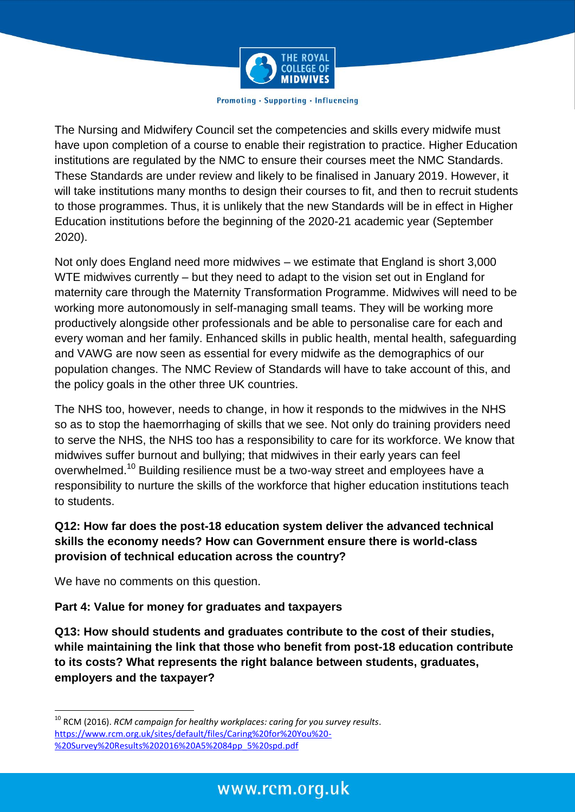

The Nursing and Midwifery Council set the competencies and skills every midwife must have upon completion of a course to enable their registration to practice. Higher Education institutions are regulated by the NMC to ensure their courses meet the NMC Standards. These Standards are under review and likely to be finalised in January 2019. However, it will take institutions many months to design their courses to fit, and then to recruit students to those programmes. Thus, it is unlikely that the new Standards will be in effect in Higher Education institutions before the beginning of the 2020-21 academic year (September 2020).

Not only does England need more midwives – we estimate that England is short 3,000 WTE midwives currently – but they need to adapt to the vision set out in England for maternity care through the Maternity Transformation Programme. Midwives will need to be working more autonomously in self-managing small teams. They will be working more productively alongside other professionals and be able to personalise care for each and every woman and her family. Enhanced skills in public health, mental health, safeguarding and VAWG are now seen as essential for every midwife as the demographics of our population changes. The NMC Review of Standards will have to take account of this, and the policy goals in the other three UK countries.

The NHS too, however, needs to change, in how it responds to the midwives in the NHS so as to stop the haemorrhaging of skills that we see. Not only do training providers need to serve the NHS, the NHS too has a responsibility to care for its workforce. We know that midwives suffer burnout and bullying; that midwives in their early years can feel overwhelmed.<sup>10</sup> Building resilience must be a two-way street and employees have a responsibility to nurture the skills of the workforce that higher education institutions teach to students.

## **Q12: How far does the post-18 education system deliver the advanced technical skills the economy needs? How can Government ensure there is world-class provision of technical education across the country?**

We have no comments on this question.

1

## **Part 4: Value for money for graduates and taxpayers**

**Q13: How should students and graduates contribute to the cost of their studies, while maintaining the link that those who benefit from post-18 education contribute to its costs? What represents the right balance between students, graduates, employers and the taxpayer?** 

<sup>10</sup> RCM (2016). *RCM campaign for healthy workplaces: caring for you survey results*. [https://www.rcm.org.uk/sites/default/files/Caring%20for%20You%20-](https://www.rcm.org.uk/sites/default/files/Caring%20for%20You%20-%20Survey%20Results%202016%20A5%2084pp_5%20spd.pdf) [%20Survey%20Results%202016%20A5%2084pp\\_5%20spd.pdf](https://www.rcm.org.uk/sites/default/files/Caring%20for%20You%20-%20Survey%20Results%202016%20A5%2084pp_5%20spd.pdf)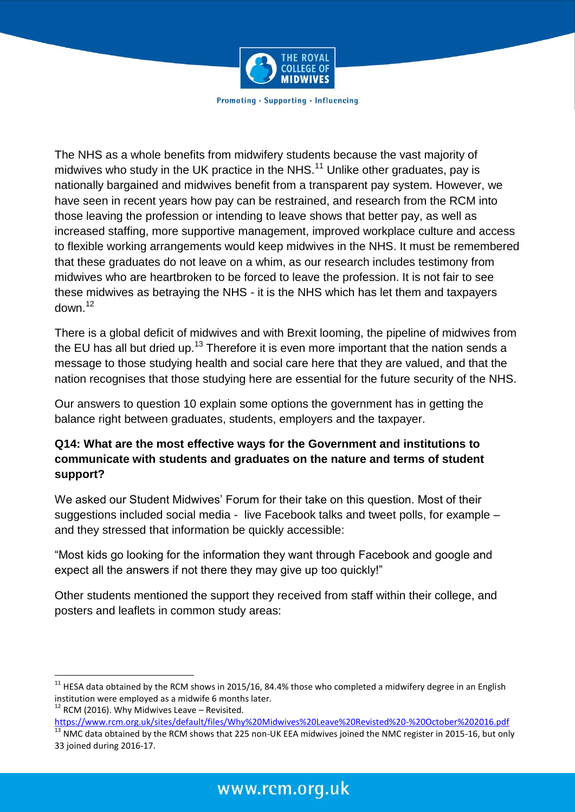

The NHS as a whole benefits from midwifery students because the vast majority of midwives who study in the UK practice in the NHS.<sup>11</sup> Unlike other graduates, pay is nationally bargained and midwives benefit from a transparent pay system. However, we have seen in recent years how pay can be restrained, and research from the RCM into those leaving the profession or intending to leave shows that better pay, as well as increased staffing, more supportive management, improved workplace culture and access to flexible working arrangements would keep midwives in the NHS. It must be remembered that these graduates do not leave on a whim, as our research includes testimony from midwives who are heartbroken to be forced to leave the profession. It is not fair to see these midwives as betraying the NHS - it is the NHS which has let them and taxpayers  $d$ own<sup>12</sup>

There is a global deficit of midwives and with Brexit looming, the pipeline of midwives from the EU has all but dried up.<sup>13</sup> Therefore it is even more important that the nation sends a message to those studying health and social care here that they are valued, and that the nation recognises that those studying here are essential for the future security of the NHS.

Our answers to question 10 explain some options the government has in getting the balance right between graduates, students, employers and the taxpayer.

## **Q14: What are the most effective ways for the Government and institutions to communicate with students and graduates on the nature and terms of student support?**

We asked our Student Midwives' Forum for their take on this question. Most of their suggestions included social media - live Facebook talks and tweet polls, for example – and they stressed that information be quickly accessible:

"Most kids go looking for the information they want through Facebook and google and expect all the answers if not there they may give up too quickly!"

Other students mentioned the support they received from staff within their college, and posters and leaflets in common study areas:

<https://www.rcm.org.uk/sites/default/files/Why%20Midwives%20Leave%20Revisted%20-%20October%202016.pdf>  $^{13}$  NMC data obtained by the RCM shows that 225 non-UK EEA midwives joined the NMC register in 2015-16, but only

 $^{11}$  HESA data obtained by the RCM shows in 2015/16, 84.4% those who completed a midwifery degree in an English institution were employed as a midwife 6 months later.

 $12$  RCM (2016). Why Midwives Leave – Revisited.

<sup>33</sup> joined during 2016-17.